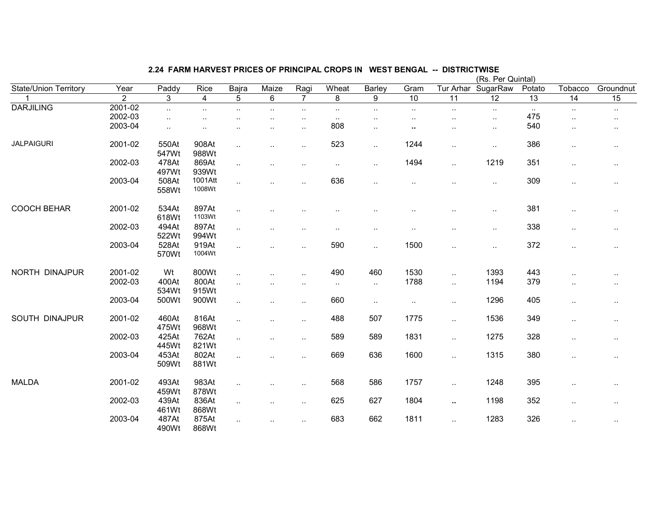|                              |                |                |                      |                      |                      |                      |           |           |                      |                        | (Rs. Per Quintal) |        |                      |           |
|------------------------------|----------------|----------------|----------------------|----------------------|----------------------|----------------------|-----------|-----------|----------------------|------------------------|-------------------|--------|----------------------|-----------|
| <b>State/Union Territory</b> | Year           | Paddy          | Rice                 | Bajra                | Maize                | Ragi                 | Wheat     | Barley    | Gram                 | Tur Arhar              | SugarRaw          | Potato | Tobacco              | Groundnut |
|                              | $\overline{2}$ | 3              | 4                    | 5                    | 6                    | $\overline{7}$       | 8         | 9         | 10                   | 11                     | $\overline{12}$   | 13     | 14                   | 15        |
| <b>DARJILING</b>             | 2001-02        | $\sim$ .       | $\sim$               | $\sim$               | $\ddot{\phantom{1}}$ | $\sim$               | $\sim$    | $\cdot$ . | $\sim$               | $\ddot{\phantom{a}}$ . | $\sim$            | $\sim$ | $\sim$               | $\cdot$ . |
|                              | 2002-03        |                |                      |                      |                      | ٠.                   | $\sim$    | $\cdot$ . |                      |                        | $\cdot$ .         | 475    |                      | $\cdot$ . |
|                              | 2003-04        |                | $\ddot{\phantom{0}}$ |                      |                      | ٠.                   | 808       | $\cdot$ . | ٠.                   |                        | $\cdot$ .         | 540    | $\ddotsc$            | $\cdot$ . |
| <b>JALPAIGURI</b>            | 2001-02        | 550At<br>547Wt | 908At<br>988Wt       | $\ddotsc$            |                      | ٠.                   | 523       | $\ddotsc$ | 1244                 | $\ddotsc$              | $\cdot$ .         | 386    | $\cdot$ .            | $\cdots$  |
|                              | 2002-03        | 478At<br>497Wt | 869At<br>939Wt       | $\cdot$ .            |                      |                      | $\sim$    | $\sim$    | 1494                 | $\ddotsc$              | 1219              | 351    | $\cdot$ .            | $\cdots$  |
|                              | 2003-04        | 508At<br>558Wt | 1001Att<br>1008Wt    | $\ddotsc$            |                      | ٠.                   | 636       | $\sim$    | $\ddot{\phantom{a}}$ | $\ddot{\phantom{a}}$   | $\sim$            | 309    | $\cdot$ .            | $\cdot$ . |
| <b>COOCH BEHAR</b>           | 2001-02        | 534At<br>618Wt | 897At<br>1103Wt      | $\cdot$ .            |                      |                      |           |           |                      |                        | $\cdot$ .         | 381    | ٠.                   | $\cdot$ . |
|                              | 2002-03        | 494At<br>522Wt | 897At<br>994Wt       | $\cdot$ .            |                      |                      |           | $\cdot$ . | $\ddot{\phantom{a}}$ |                        | $\ddotsc$         | 338    | $\ddotsc$            | $\cdot$ . |
|                              | 2003-04        | 528At<br>570Wt | 919At<br>1004Wt      | $\ddot{\phantom{a}}$ |                      | ٠.                   | 590       | $\sim$    | 1500                 | $\cdot$ .              | $\ldots$          | 372    | $\cdot$ .            | $\cdot$ . |
| NORTH DINAJPUR               | 2001-02        | Wt             | 800Wt                | $\ddotsc$            |                      |                      | 490       | 460       | 1530                 | $\ddotsc$              | 1393              | 443    | ٠.                   |           |
|                              | 2002-03        | 400At<br>534Wt | 800At<br>915Wt       | $\ddotsc$            |                      |                      | $\ddotsc$ | $\sim$    | 1788                 | $\ddotsc$              | 1194              | 379    | $\cdot$ .            | $\cdot$ . |
|                              | 2003-04        | 500Wt          | 900Wt                | $\ddotsc$            |                      | $\ddot{\phantom{a}}$ | 660       | $\sim$    | $\sim$               | $\cdot$ .              | 1296              | 405    | $\cdot$ .            | $\cdots$  |
| SOUTH DINAJPUR               | 2001-02        | 460At<br>475Wt | 816At<br>968Wt       | $\cdot$ .            |                      | ٠.                   | 488       | 507       | 1775                 | $\ddotsc$              | 1536              | 349    | $\cdot$ .            | $\cdot$ . |
|                              | 2002-03        | 425At<br>445Wt | 762At<br>821Wt       | $\ddotsc$            |                      | Ω.                   | 589       | 589       | 1831                 | $\ddotsc$              | 1275              | 328    | $\ldots$             | $\cdot$ . |
|                              | 2003-04        | 453At<br>509Wt | 802At<br>881Wt       | $\ddotsc$            |                      | $\ddot{\phantom{a}}$ | 669       | 636       | 1600                 | $\ddotsc$              | 1315              | 380    | $\ddotsc$            | $\cdot$ . |
| <b>MALDA</b>                 | 2001-02        | 493At<br>459Wt | 983At<br>878Wt       | $\cdot$ .            |                      | $\sim$               | 568       | 586       | 1757                 | $\ddotsc$              | 1248              | 395    | $\ddot{\phantom{a}}$ | $\cdot$ . |
|                              | 2002-03        | 439At<br>461Wt | 836At<br>868Wt       | $\cdot$ .            |                      | $\ddotsc$            | 625       | 627       | 1804                 | ٠.                     | 1198              | 352    | $\cdot$ .            | $\cdot$ . |
|                              | 2003-04        | 487At<br>490Wt | 875At<br>868Wt       | $\ddotsc$            |                      | $\cdot$ .            | 683       | 662       | 1811                 | $\ddotsc$              | 1283              | 326    | $\cdot$ .            | $\cdot$ . |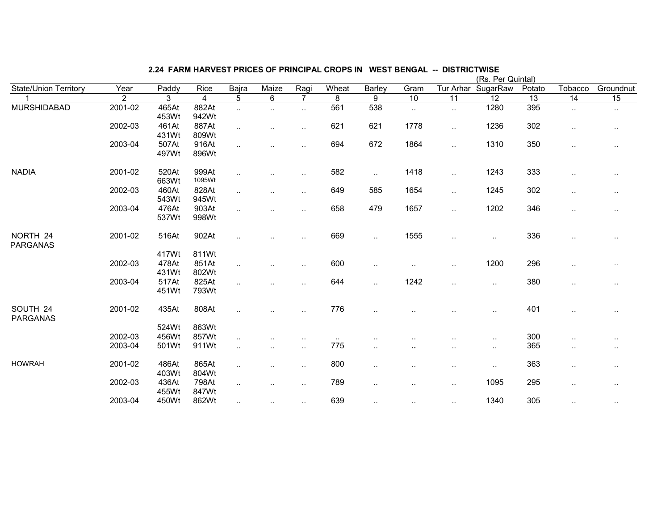|                              |                |       |                |                      |                      |                      |           |                        |                      |           | (Rs. Per Quintal     |                 |                      |           |
|------------------------------|----------------|-------|----------------|----------------------|----------------------|----------------------|-----------|------------------------|----------------------|-----------|----------------------|-----------------|----------------------|-----------|
| <b>State/Union Territory</b> | Year           | Paddy | Rice           | Bajra                | Maize                | Ragi                 | Wheat     | Barley                 | Gram                 | Tur Arhar | SugarRaw             | Potato          | Tobacco              | Groundnut |
|                              | $\overline{2}$ | 3     | $\overline{4}$ | 5                    | 6                    | $\overline{7}$       | 8         | 9                      | 10                   | 11        | $\overline{12}$      | $\overline{13}$ | 14                   | 15        |
| <b>MURSHIDABAD</b>           | 2001-02        | 465At | 882At          | $\ldots$             | $\ddot{\phantom{1}}$ | $\ddotsc$            | 561       | 538                    | $\sim$               | $\sim$    | 1280                 | 395             | $\sim$               | $\cdot$ . |
|                              |                | 453Wt | 942Wt          |                      |                      |                      |           |                        |                      |           |                      |                 |                      |           |
|                              | 2002-03        | 461At | 887At          | $\ddotsc$            | $\ddotsc$            | $\ddotsc$            | 621       | 621                    | 1778                 | $\ddotsc$ | 1236                 | 302             | $\sim$               | $\cdot$ . |
|                              |                | 431Wt | 809Wt          |                      |                      |                      |           |                        |                      |           |                      |                 |                      |           |
|                              | 2003-04        | 507At | 916At          | $\ddotsc$            | $\ddot{\phantom{a}}$ | $\ddotsc$            | 694       | 672                    | 1864                 | $\ddotsc$ | 1310                 | 350             | $\cdot$ .            | $\cdot$ . |
|                              |                | 497Wt | 896Wt          |                      |                      |                      |           |                        |                      |           |                      |                 |                      |           |
| <b>NADIA</b>                 | 2001-02        | 520At | 999At          | $\ddot{\phantom{a}}$ |                      | $\ddotsc$            | 582       | $\ddotsc$              | 1418                 | $\ddotsc$ | 1243                 | 333             | $\ddot{\phantom{a}}$ |           |
|                              |                | 663Wt | 1095Wt         |                      |                      |                      |           |                        |                      |           |                      |                 |                      |           |
|                              | 2002-03        | 460At | 828At          | $\ddotsc$            |                      | $\ddot{\phantom{a}}$ | 649       | 585                    | 1654                 | $\ddotsc$ | 1245                 | 302             | $\cdot$ .            | $\cdot$ . |
|                              |                | 543Wt | 945Wt          |                      |                      |                      |           |                        |                      |           |                      |                 |                      |           |
|                              | 2003-04        | 476At | 903At          | $\ddotsc$            | $\ddot{\phantom{a}}$ | $\ddotsc$            | 658       | 479                    | 1657                 | $\sim$    | 1202                 | 346             | $\cdot$ .            | $\cdot$ . |
|                              |                | 537Wt | 998Wt          |                      |                      |                      |           |                        |                      |           |                      |                 |                      |           |
| NORTH 24<br><b>PARGANAS</b>  | 2001-02        | 516At | 902At          | $\ddotsc$            |                      |                      | 669       | $\ddot{\phantom{1}}$ . | 1555                 | $\sim$    | $\cdot$ .            | 336             |                      |           |
|                              |                |       |                |                      |                      |                      |           |                        |                      |           |                      |                 |                      |           |
|                              |                | 417Wt | 811Wt          |                      |                      |                      |           |                        |                      |           |                      |                 |                      |           |
|                              | 2002-03        | 478At | 851At          | $\ddotsc$            | $\ddotsc$            | $\cdot$ .            | 600       | $\sim$                 | $\ddotsc$            | $\ddotsc$ | 1200                 | 296             |                      | $\ddotsc$ |
|                              |                | 431Wt | 802Wt          |                      |                      |                      |           |                        |                      |           |                      |                 |                      |           |
|                              | 2003-04        | 517At | 825At          | $\ddotsc$            |                      |                      | 644       | $\ddotsc$              | 1242                 | ٠.        | $\ddot{\phantom{a}}$ | 380             |                      |           |
|                              |                | 451Wt | 793Wt          |                      |                      |                      |           |                        |                      |           |                      |                 |                      |           |
| SOUTH 24<br><b>PARGANAS</b>  | 2001-02        | 435At | 808At          |                      |                      |                      | 776       | $\ddotsc$              |                      |           | $\ddot{\phantom{a}}$ | 401             |                      |           |
|                              |                | 524Wt | 863Wt          |                      |                      |                      |           |                        |                      |           |                      |                 |                      |           |
|                              | 2002-03        | 456Wt | 857Wt          | $\ddotsc$            |                      |                      | $\cdot$ . |                        |                      |           |                      | 300             | ٠.                   |           |
|                              | 2003-04        | 501Wt | 911Wt          |                      | ٠.                   |                      | 775       |                        | $\bullet$            |           |                      | 365             |                      | $\cdot$   |
|                              |                |       |                | $\ddotsc$            |                      | $\cdot$ .            |           | $\cdot$ .              |                      | $\sim$    | $\cdot$ .            |                 | $\cdot$ .            | $\cdot$ . |
| <b>HOWRAH</b>                | 2001-02        | 486At | 865At          | $\cdot$ .            | $\ddotsc$            | $\cdot$ .            | 800       | $\ddot{\phantom{a}}$ . | $\ddot{\phantom{a}}$ | $\sim$    | $\cdot$ .            | 363             | $\cdot$ .            | $\cdot$ . |
|                              |                | 403Wt | 804Wt          |                      |                      |                      |           |                        |                      |           |                      |                 |                      |           |
|                              | 2002-03        | 436At | 798At          |                      | $\ddot{\phantom{a}}$ | $\ddotsc$            | 789       | $\ddot{\phantom{a}}$ . | $\ldots$             | $\sim$    | 1095                 | 295             | $\cdot$ .            |           |
|                              |                | 455Wt | 847Wt          |                      |                      |                      |           |                        |                      |           |                      |                 |                      |           |
|                              | 2003-04        | 450Wt | 862Wt          | $\sim$               | $\sim$               | $\cdot$ .            | 639       | $\cdot$ .              | $\sim$               | $\sim$    | 1340                 | 305             | $\sim$               |           |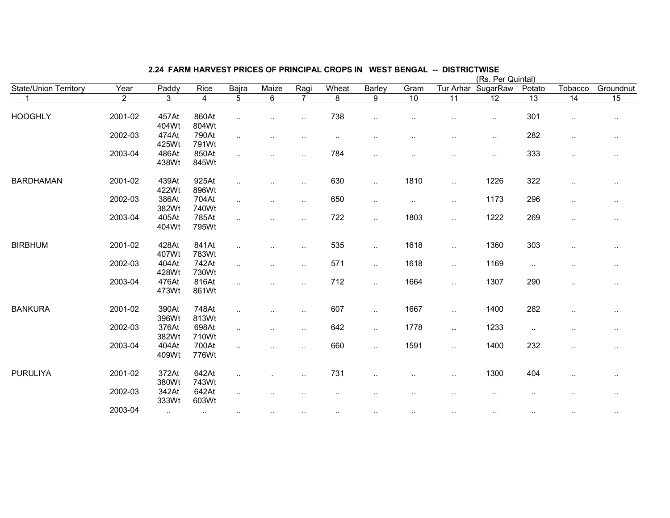|                              |                |                |                |                |                      |                |                |           |                      |                 | (Rs. Per Quintal) |                 |                      |           |
|------------------------------|----------------|----------------|----------------|----------------|----------------------|----------------|----------------|-----------|----------------------|-----------------|-------------------|-----------------|----------------------|-----------|
| <b>State/Union Territory</b> | Year           | Paddy          | Rice           | Bajra          | Maize                | Ragi           | Wheat          | Barley    | Gram                 | Tur Arhar       | SugarRaw          | Potato          | Tobacco              | Groundnut |
| $\mathbf 1$                  | $\overline{2}$ | $\overline{3}$ | $\overline{4}$ | $\overline{5}$ | 6                    | $\overline{7}$ | $\overline{8}$ | 9         | $\overline{10}$      | $\overline{11}$ | $\overline{12}$   | $\overline{13}$ | $\overline{14}$      | 15        |
| <b>HOOGHLY</b>               | 2001-02        | 457At<br>404Wt | 860At<br>804Wt | $\ddotsc$      | $\ddotsc$            | $\ddotsc$      | 738            | $\cdot$ . | $\cdot$ .            | ٠.              | $\cdot$ .         | 301             | $\ldots$             | $\sim$    |
|                              | 2002-03        | 474At<br>425Wt | 790At<br>791Wt | $\cdot$ .      | $\ddotsc$            | $\ddotsc$      | $\ddotsc$      | $\ddotsc$ | $\cdot$ .            | $\sim$          | $\sim$            | 282             | $\sim$               | $\sim$    |
|                              | 2003-04        | 486At<br>438Wt | 850At<br>845Wt | $\ddotsc$      | $\ddotsc$            | $\sim$         | 784            | $\sim$    | $\ddot{\phantom{a}}$ | $\sim$          | $\cdot$ .         | 333             | $\sim$               | $\cdot$ . |
| <b>BARDHAMAN</b>             | 2001-02        | 439At<br>422Wt | 925At<br>896Wt | $\ldots$       | $\ddotsc$            | $\ddotsc$      | 630            | $\sim$    | 1810                 | $\ddotsc$       | 1226              | 322             | $\cdot$ .            | $\sim$    |
|                              | 2002-03        | 386At<br>382Wt | 704At<br>740Wt | $\ldots$       | $\ddotsc$            | $\ddotsc$      | 650            | $\sim$    | $\sim$               | $\ddotsc$       | 1173              | 296             | $\ldots$             | $\cdots$  |
|                              | 2003-04        | 405At<br>404Wt | 785At<br>795Wt | $\ddotsc$      | $\ddot{\phantom{a}}$ | $\ddotsc$      | 722            | $\sim$    | 1803                 | $\sim$          | 1222              | 269             | $\ldots$             | $\cdot$ . |
| <b>BIRBHUM</b>               | 2001-02        | 428At<br>407Wt | 841At<br>783Wt | $\cdot$ .      | $\sim$               | $\ddotsc$      | 535            | $\sim$    | 1618                 | $\sim$          | 1360              | 303             | $\cdot$ .            | $\cdot$ . |
|                              | 2002-03        | 404At<br>428Wt | 742At<br>730Wt | $\ldots$       | $\sim$               | $\ddotsc$      | 571            | $\sim$    | 1618                 | $\ddotsc$       | 1169              | $\sim$          |                      | $\cdot$ . |
|                              | 2003-04        | 476At<br>473Wt | 816At<br>861Wt |                | $\ddotsc$            | $\ddotsc$      | 712            | $\sim$    | 1664                 | $\ldots$        | 1307              | 290             | $\cdot$ .            | $\cdot$ . |
| <b>BANKURA</b>               | 2001-02        | 390At<br>396Wt | 748At<br>813Wt | $\ddotsc$      | $\ddotsc$            | $\sim$ $\sim$  | 607            | $\sim$    | 1667                 | $\sim$          | 1400              | 282             | $\ddotsc$            |           |
|                              | 2002-03        | 376At<br>382Wt | 698At<br>710Wt | $\ddotsc$      | $\ddotsc$            | $\ddotsc$      | 642            | $\sim$    | 1778                 | $\mathbf{u}$    | 1233              | $\sim$          | $\cdot$ .            | $\cdot$ . |
|                              | 2003-04        | 404At<br>409Wt | 700At<br>776Wt | $\ddotsc$      | $\ddotsc$            | $\sim$         | 660            | $\sim$    | 1591                 | $\ddotsc$       | 1400              | 232             | $\ddot{\phantom{a}}$ |           |
| PURULIYA                     | 2001-02        | 372At<br>380Wt | 642At<br>743Wt | $\ldots$       |                      | $\ddotsc$      | 731            | $\ddotsc$ |                      | $\ddotsc$       | 1300              | 404             | $\cdot$ .            | $\cdot$ . |
|                              | 2002-03        | 342At<br>333Wt | 642At<br>603Wt |                |                      |                | ٠.             |           |                      |                 |                   | ٠.              | ٠.                   | $\sim$    |
|                              | 2003-04        | $\sim$         | $\sim$         | $\sim$ $\sim$  | $\sim$               | $\sim$         | $\sim$         |           | $\ddotsc$            | $\sim$          |                   | $\sim$          | $\sim$               |           |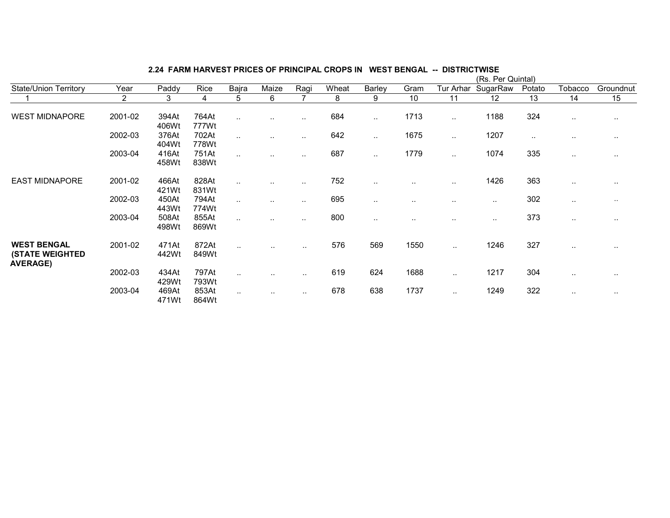| State/Union Territory                                           | Year    | Paddy          | Rice           | Bajra     | Maize         | Ragi                 | Wheat | Barley    | Gram                 | Tur Arhar     | SugarRaw      | Potato        | Tobacco       | Groundnut     |
|-----------------------------------------------------------------|---------|----------------|----------------|-----------|---------------|----------------------|-------|-----------|----------------------|---------------|---------------|---------------|---------------|---------------|
|                                                                 | 2       | 3              | 4              | 5         | 6             | $\overline{ }$       | 8     | 9         | 10                   | 11            | 12            | 13            | 14            | 15            |
| <b>WEST MIDNAPORE</b>                                           | 2001-02 | 394At<br>406Wt | 764At<br>777Wt | $\ddotsc$ | $\sim$ $\sim$ | $\ddotsc$            | 684   | $\cdot$ . | 1713                 | $\ddotsc$     | 1188          | 324           | $\sim$        | $\cdots$      |
|                                                                 | 2002-03 | 376At<br>404Wt | 702At<br>778Wt |           | $\ddotsc$     | $\ddotsc$            | 642   | $\sim$    | 1675                 | $\sim$        | 1207          | $\sim$ $\sim$ | $\sim$        | $\cdots$      |
|                                                                 | 2003-04 | 416At<br>458Wt | 751At<br>838Wt |           | $\sim$ $\sim$ | $\ddotsc$            | 687   | $\sim$    | 1779                 | $\ddotsc$     | 1074          | 335           | $\sim$ $\sim$ | $\cdot$ .     |
| <b>EAST MIDNAPORE</b>                                           | 2001-02 | 466At<br>421Wt | 828At<br>831Wt |           | $\sim$        | $\sim$               | 752   | $\cdots$  | $\ddot{\phantom{a}}$ | $\sim$        | 1426          | 363           | $\sim$        | $\sim$ $\sim$ |
|                                                                 | 2002-03 | 450At<br>443Wt | 794At<br>774Wt |           | $\sim$        | $\sim$ $\sim$        | 695   | $\sim$    | $\sim$ $\sim$        | $\sim$        | $\sim$ $\sim$ | 302           | $\sim$        | $\sim$ $\sim$ |
|                                                                 | 2003-04 | 508At<br>498Wt | 855At<br>869Wt |           | $\sim$ $\sim$ | $\sim$ $\sim$        | 800   | $\cdots$  | $\cdots$             | $\sim$ $\sim$ | $\sim$        | 373           | $\sim$ $\sim$ | $\cdots$      |
| <b>WEST BENGAL</b><br><b>(STATE WEIGHTED</b><br><b>AVERAGE)</b> | 2001-02 | 471At<br>442Wt | 872At<br>849Wt | $\cdot$ . |               | $\sim$ $\sim$        | 576   | 569       | 1550                 | $\cdot$ .     | 1246          | 327           | $\cdots$      | $\cdot$ .     |
|                                                                 | 2002-03 | 434At<br>429Wt | 797At<br>793Wt | $\ddotsc$ |               | $\sim$ $\sim$        | 619   | 624       | 1688                 | $\ddotsc$     | 1217          | 304           | $\sim$ $\sim$ | $\cdots$      |
|                                                                 | 2003-04 | 469At<br>471Wt | 853At<br>864Wt | $\cdot$ . | $\ddotsc$     | $\ddot{\phantom{a}}$ | 678   | 638       | 1737                 | $\ddotsc$     | 1249          | 322           | $\sim$ $\sim$ | $\cdots$      |

# 2.24 FARM HARVEST PRICES OF PRINCIPAL CROPS IN WEST BENGAL -- DISTRICTWISE (Rs. Per Quintal)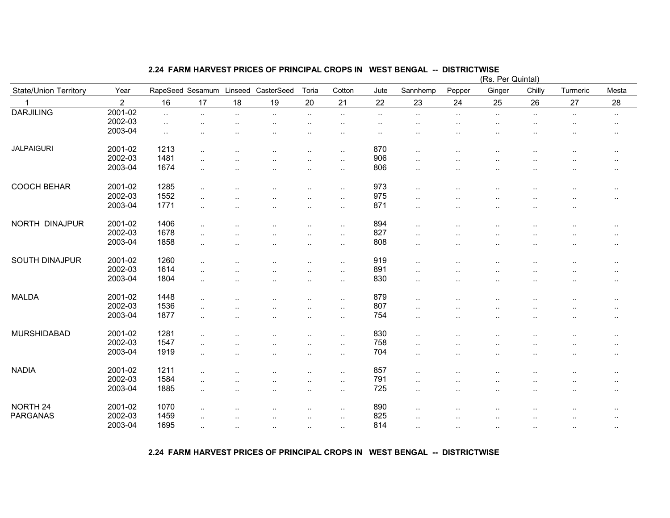# 2.24 FARM HARVEST PRICES OF PRINCIPAL CROPS IN WEST BENGAL -- DISTRICTWISE (Rs. Per Quintal)

|                              |                |                      |                      |           |                      |                      |           |           |                        |                      | (Rs. Per Quintal)    |           |           |                        |
|------------------------------|----------------|----------------------|----------------------|-----------|----------------------|----------------------|-----------|-----------|------------------------|----------------------|----------------------|-----------|-----------|------------------------|
| <b>State/Union Territory</b> | Year           | RapeSeed Sesamum     |                      | Linseed   | CasterSeed           | Toria                | Cotton    | Jute      | Sannhemp               | Pepper               | Ginger               | Chilly    | Turmeric  | Mesta                  |
|                              | $\overline{2}$ | 16                   | 17                   | 18        | 19                   | 20                   | 21        | 22        | 23                     | 24                   | 25                   | 26        | 27        | 28                     |
| <b>DARJILING</b>             | 2001-02        | $\ldots$             | $\sim$               | $\ldots$  | $\cdot$ .            | $\sim$               | $\sim$    | $\cdot$ . | $\sim$                 | $\sim$               | $\ddotsc$            | $\sim$    | $\sim$    | $\sim$                 |
|                              | 2002-03        | $\ddot{\phantom{1}}$ | $\ddot{\phantom{a}}$ | $\cdot$ . | $\cdot$ .            | $\ddot{\phantom{a}}$ | $\cdot$ . | $\cdot$ . | $\cdot$ .              | $\cdot$ .            | $\ddotsc$            | $\ddotsc$ | $\cdot$ . | $\sim$                 |
|                              | 2003-04        | $\sim$               |                      |           | ٠.                   |                      | ٠.        | $\cdot$ . |                        |                      | $\ddot{\phantom{1}}$ | $\ddotsc$ |           | $\sim$                 |
| <b>JALPAIGURI</b>            | 2001-02        | 1213                 | $\ddot{\phantom{a}}$ |           | $\cdot$ .            | $\cdot$ .            | $\cdot$ . | 870       | $\ddot{\phantom{a}}$   |                      |                      |           |           | $\sim$                 |
|                              | 2002-03        | 1481                 |                      |           |                      |                      | $\cdot$ . | 906       | $\ddot{\phantom{a}}$   |                      |                      |           |           | $\ddotsc$              |
|                              | 2003-04        | 1674                 |                      |           |                      |                      |           | 806       |                        |                      |                      |           |           |                        |
|                              |                |                      | $\sim$               |           | $\cdot$ .            | $\ddotsc$            | $\cdot$ . |           | $\cdot$ .              | $\cdot$ .            | $\ddot{\phantom{a}}$ | $\cdot$ . | ٠.        | $\sim$                 |
| <b>COOCH BEHAR</b>           | 2001-02        | 1285                 |                      |           |                      | $\cdot$ .            | $\cdot$ . | 973       | $\ddot{\phantom{a}}$   |                      |                      |           |           | $\cdots$               |
|                              | 2002-03        | 1552                 | $\ddot{\phantom{a}}$ |           | ٠.                   | $\ddotsc$            | $\ddotsc$ | 975       | $\ddot{\phantom{a}}$   |                      |                      |           |           | $\sim$                 |
|                              | 2003-04        | 1771                 |                      |           | ٠.                   | $\ddotsc$            | $\ddotsc$ | 871       | $\cdot$ .              | ٠.                   | $\ddot{\phantom{a}}$ | $\cdot$ . |           |                        |
| NORTH DINAJPUR               | 2001-02        | 1406                 |                      |           |                      |                      |           | 894       |                        |                      |                      |           |           |                        |
|                              | 2002-03        | 1678                 | $\ddotsc$            |           | ٠.                   | $\ddot{\phantom{a}}$ | $\cdot$ . | 827       | $\cdot$ .              | $\cdot$ .            |                      |           |           | $\sim$                 |
|                              |                |                      | $\ddotsc$            |           |                      | $\ddot{\phantom{0}}$ | $\ddotsc$ |           | $\ddot{\phantom{a}}$   | $\cdot$ .            | $\cdot$ .            |           |           | $\ddotsc$              |
|                              | 2003-04        | 1858                 | $\cdot$ .            |           | $\ddot{\phantom{a}}$ | $\ddot{\phantom{a}}$ | $\cdot$ . | 808       | $\cdot$ .              | $\cdot$ .            | $\cdot$ .            | $\cdot$ . |           | $\cdots$               |
| SOUTH DINAJPUR               | 2001-02        | 1260                 |                      |           | $\ddotsc$            | $\ddotsc$            | $\cdot$ . | 919       | $\cdot$ .              | $\ddotsc$            |                      |           |           | $\sim$                 |
|                              | 2002-03        | 1614                 | $\cdot$ .            |           |                      | $\ddotsc$            | $\cdot$ . | 891       | $\ddot{\phantom{a}}$   | $\ddot{\phantom{0}}$ |                      |           |           | $\cdot$ .              |
|                              | 2003-04        | 1804                 |                      |           | $\ddot{\phantom{a}}$ |                      | $\ddotsc$ | 830       | $\ddot{\phantom{a}}$   | $\cdot$ .            |                      | ٠.        |           | $\ddotsc$              |
| <b>MALDA</b>                 | 2001-02        | 1448                 |                      |           |                      |                      |           | 879       |                        |                      |                      |           |           |                        |
|                              | 2002-03        | 1536                 | $\cdot$ .            |           | $\cdot$ .            | $\ddotsc$            | $\cdot$ . | 807       | $\cdot$ .              |                      |                      | $\ddotsc$ |           | $\ddot{\phantom{a}}$ . |
|                              |                |                      | $\cdot$ .            |           |                      | $\ddot{\phantom{0}}$ | $\cdot$ . |           | ٠.                     |                      |                      |           |           | $\ddotsc$              |
|                              | 2003-04        | 1877                 | $\ddotsc$            |           | . .                  | $\ddot{\phantom{0}}$ | $\ddotsc$ | 754       | $\ddotsc$              | $\cdot$ .            |                      | $\ddotsc$ | $\cdot$ . | $\ddotsc$              |
| <b>MURSHIDABAD</b>           | 2001-02        | 1281                 |                      |           |                      | $\ddotsc$            | $\cdot$ . | 830       | $\ddot{\phantom{1}}$ . |                      |                      | $\ddotsc$ |           | $\sim$                 |
|                              | 2002-03        | 1547                 |                      |           | ٠.                   | $\ddotsc$            | $\ddotsc$ | 758       | $\ddot{\phantom{a}}$   |                      |                      |           |           | $\sim$                 |
|                              | 2003-04        | 1919                 |                      |           | ٠.                   | $\ddotsc$            | $\cdot$ . | 704       | ٠.                     |                      | $\ddot{\phantom{a}}$ |           |           | $\sim$                 |
| <b>NADIA</b>                 | 2001-02        | 1211                 | $\ddotsc$            |           |                      |                      |           | 857       | $\ddot{\phantom{a}}$   |                      |                      |           |           |                        |
|                              | 2002-03        | 1584                 |                      |           | ٠.                   | $\ddotsc$            | $\cdot$ . | 791       |                        |                      |                      |           |           | $\sim$                 |
|                              |                |                      | $\ddot{\phantom{a}}$ |           |                      | $\ddot{\phantom{a}}$ | $\ddotsc$ |           | $\ddot{\phantom{a}}$   |                      |                      |           |           | $\ddotsc$              |
|                              | 2003-04        | 1885                 |                      |           | $\cdot$ .            | $\ddotsc$            | $\cdot$ . | 725       | $\ddot{\phantom{a}}$   | $\cdot$ .            | $\cdot$ .            | $\cdot$ . |           | $\sim$                 |
| NORTH <sub>24</sub>          | 2001-02        | 1070                 | $\cdot$ .            |           | $\ddotsc$            | $\ddot{\phantom{a}}$ | ٠.        | 890       | ٠.                     |                      |                      |           |           | $\sim$                 |
| <b>PARGANAS</b>              | 2002-03        | 1459                 | $\ddot{\phantom{a}}$ |           | $\ddot{\phantom{a}}$ |                      | $\cdot$ . | 825       | $\cdot$ .              |                      | $\cdot$ .            | $\ddotsc$ |           |                        |
|                              | 2003-04        | 1695                 | $\sim$               | $\cdot$ . | $\ddotsc$            | $\sim$               | $\cdot$ . | 814       | $\cdot$ .              | $\cdot$ .            | $\cdot$ .            | $\ddotsc$ | $\cdot$ . |                        |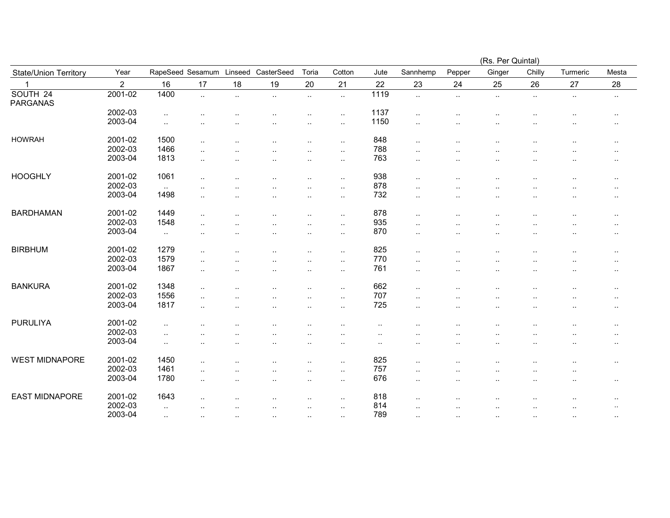|                       |                |                  |                      |           |                      |                        |                      |                      |                      |                      | (Rs. Per Quintal)    |                      |           |                      |
|-----------------------|----------------|------------------|----------------------|-----------|----------------------|------------------------|----------------------|----------------------|----------------------|----------------------|----------------------|----------------------|-----------|----------------------|
| State/Union Territory | Year           | RapeSeed Sesamum |                      | Linseed   | CasterSeed           | Toria                  | Cotton               | Jute                 | Sannhemp             | Pepper               | Ginger               | Chilly               | Turmeric  | Mesta                |
|                       | $\overline{2}$ | 16               | 17                   | 18        | 19                   | 20                     | 21                   | 22                   | 23                   | 24                   | 25                   | 26                   | 27        | 28                   |
| SOUTH 24<br>PARGANAS  | 2001-02        | 1400             | $\ddotsc$            | $\ddotsc$ | $\ddotsc$            | $\ddotsc$              | $\ddotsc$            | 1119                 | $\ddotsc$            | $\ldots$             | $\sim$               | $\ldots$             | $\sim$    | $\sim$               |
|                       | 2002-03        | $\sim$           |                      |           |                      | $\ddotsc$              | $\cdot$ .            | 1137                 | $\ddotsc$            |                      | $\cdot$ .            | $\ddot{\phantom{0}}$ |           | $\cdot$ .            |
|                       | 2003-04        | $\sim$           |                      |           |                      | $\ddotsc$              | $\cdot$ .            | 1150                 | $\ddotsc$            | $\cdot$ .            | ٠.                   |                      |           | $\sim$               |
| <b>HOWRAH</b>         | 2001-02        | 1500             | $\ldots$             |           | $\ddotsc$            | $\ddotsc$              | $\ddot{\phantom{a}}$ | 848                  | $\ddotsc$            |                      | $\ddot{\phantom{a}}$ |                      |           | $\ddotsc$            |
|                       | 2002-03        | 1466             | $\ddotsc$            |           |                      | $\ddotsc$              | $\cdot$ .            | 788                  | $\ddot{\phantom{0}}$ |                      |                      |                      |           | $\cdot$ .            |
|                       | 2003-04        | 1813             | $\cdot$ .            |           |                      |                        | $\ddot{\phantom{a}}$ | 763                  |                      |                      |                      |                      |           | $\ddotsc$            |
| <b>HOOGHLY</b>        | 2001-02        | 1061             | $\cdot$ .            |           |                      | $\ddotsc$              | $\cdot$ .            | 938                  | $\ddotsc$            |                      | $\cdot$ .            | $\cdot$ .            |           | $\cdots$             |
|                       | 2002-03        | $\ddotsc$        |                      |           |                      | $\ddotsc$              | $\ddotsc$            | 878                  |                      |                      |                      |                      |           | $\sim$               |
|                       | 2003-04        | 1498             | $\ddotsc$            |           |                      | $\ddotsc$              | $\cdot$ .            | 732                  | $\ddot{\phantom{0}}$ |                      |                      |                      |           | $\cdots$             |
| <b>BARDHAMAN</b>      | 2001-02        | 1449             | $\cdot$ .            |           |                      | $\ddotsc$              | $\ddot{\phantom{a}}$ | 878                  | $\ldots$             | $\ddot{\phantom{a}}$ |                      |                      |           | $\cdot$ .            |
|                       | 2002-03        | 1548             | $\cdot$ .            |           |                      | $\ddotsc$              | $\cdot$ .            | 935                  | $\ldots$             |                      |                      |                      |           | $\sim$               |
|                       | 2003-04        | $\sim$ $\sim$    |                      |           |                      |                        | $\cdot$ .            | 870                  | $\ddot{\phantom{0}}$ |                      | $\cdot$ .            |                      |           | $\cdot$ .            |
| <b>BIRBHUM</b>        | 2001-02        | 1279             | $\ddot{\phantom{a}}$ |           |                      | $\ddot{\phantom{0}}$   | $\ddot{\phantom{a}}$ | 825                  | $\ddot{\phantom{0}}$ |                      |                      |                      |           | $\cdot$ .            |
|                       | 2002-03        | 1579             | $\cdot$ .            |           |                      | $\ddot{\phantom{a}}$   | $\ddotsc$            | 770                  | $\ldots$             | $\ddot{\phantom{a}}$ |                      | $\ddot{\phantom{a}}$ |           | $\cdot$ .            |
|                       | 2003-04        | 1867             | $\ddotsc$            |           | ٠.                   | $\ddotsc$              | $\cdot$ .            | 761                  | $\sim$               | ٠.                   | $\cdot$ .            |                      | $\cdot$ . | $\cdot$ .            |
| <b>BANKURA</b>        | 2001-02        | 1348             | $\ddot{\phantom{a}}$ |           |                      | $\ddot{\phantom{0}}$   | $\ddot{\phantom{a}}$ | 662                  | $\ddot{\phantom{a}}$ |                      |                      |                      |           | $\sim$               |
|                       | 2002-03        | 1556             | $\cdot$ .            |           |                      | $\ddot{\phantom{1}}$ . | $\cdot$ .            | 707                  | $\ldots$             |                      | $\cdot$ .            |                      |           | $\cdot$ .            |
|                       | 2003-04        | 1817             | $\ddotsc$            |           | $\ddot{\phantom{a}}$ | $\ddotsc$              | $\cdot$ .            | 725                  | $\cdot$ .            |                      | $\cdot$ .            |                      | $\ddotsc$ | $\cdot$ .            |
| <b>PURULIYA</b>       | 2001-02        | $\ldots$         |                      |           |                      |                        |                      |                      |                      |                      |                      |                      |           | $\cdot$ .            |
|                       | 2002-03        | $\sim$           |                      |           |                      |                        |                      |                      |                      |                      |                      |                      |           | $\ddot{\phantom{a}}$ |
|                       | 2003-04        | $\sim$           |                      |           |                      | $\ddotsc$              | $\cdot$ .            | $\ddot{\phantom{a}}$ | $\cdot$ .            | $\ddot{\phantom{0}}$ | $\ddot{\phantom{0}}$ |                      |           | $\ddotsc$            |
| <b>WEST MIDNAPORE</b> | 2001-02        | 1450             |                      |           |                      | $\ddotsc$              | $\ddot{\phantom{a}}$ | 825                  |                      |                      |                      |                      |           | $\sim$               |
|                       | 2002-03        | 1461             | $\cdot$ .            |           | $\ddot{\phantom{a}}$ | $\ddotsc$              | $\cdot$ .            | 757                  |                      |                      | $\cdot$ .            | $\cdot$ .            | $\ddotsc$ |                      |
|                       | 2003-04        | 1780             | $\cdot$ .            |           | ٠.                   | $\ddotsc$              | $\cdot$ .            | 676                  | $\ddot{\phantom{0}}$ | $\cdot$ .            | $\cdot$ .            | $\cdot$ .            | $\cdot$ . | $\sim$               |
| <b>EAST MIDNAPORE</b> | 2001-02        | 1643             |                      |           |                      |                        |                      | 818                  |                      |                      |                      |                      |           |                      |
|                       | 2002-03        |                  | $\ddotsc$            |           |                      | $\ddot{\phantom{0}}$   | $\ddot{\phantom{a}}$ | 814                  | $\cdot$ .            |                      |                      |                      |           | $\sim$               |
|                       | 2003-04        | $\sim$<br>$\sim$ | $\ddotsc$            | $\ddotsc$ | $\ddotsc$            | $\ddotsc$              | $\ddotsc$            | 789                  | <br>$\ddotsc$        | $\ddotsc$            | ٠.                   | $\ddot{\phantom{a}}$ | $\ddotsc$ | $\ddotsc$            |